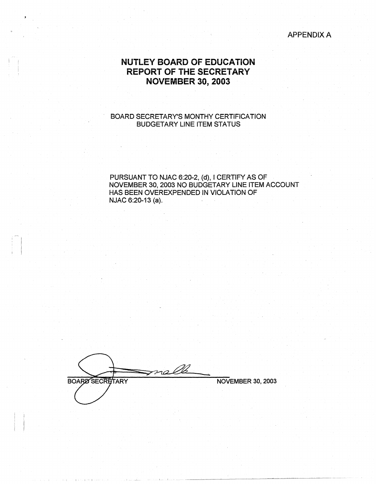APPENDIX A

# **NUTLEY BOARD OF EOUCATiON REPORT OF THE SECRETARY NOVEMBER 30, 2003**

### BOARD SECRETARY'S MONTHY CERTIFICATION BUDGETARY LINE ITEM STATUS

PURSUANT TO NJAC 6:20-2, (d), I CERTIFY AS OF NOVEMBER 30, 2003 NO BUDGETARY LINE ITEM ACCOUNT HAS BEEN OVEREXPENDED IN VIOLATION OF NJAC 6:20-13 (a).

**BOARD SECRETARY** 

I I I I• II

: I

NOVEMBER 30, 2003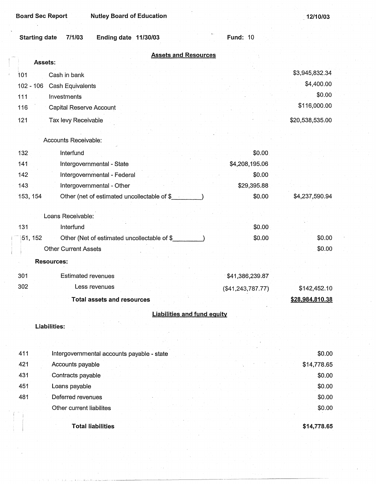JJa,J,11 -~'~-'--'- -----~~-~~~------~----~---------~

\_ **12110/03** 

|             | 7/1/03<br><b>Starting date</b> | <b>Ending date 11/30/03</b>                 | $\alpha$ .<br><b>Fund: 10</b>      |                              |
|-------------|--------------------------------|---------------------------------------------|------------------------------------|------------------------------|
|             |                                |                                             | <b>Assets and Resources</b>        |                              |
|             | Assets:                        |                                             |                                    |                              |
| 101         | Cash in bank                   |                                             |                                    | \$3,945,832.34<br>\$4,400.00 |
| $102 - 106$ | Cash Equivalents               |                                             |                                    | \$0.00                       |
| 111         | Investments                    |                                             |                                    | \$116,000.00                 |
| 116         |                                | Capital Reserve Account                     |                                    |                              |
| 121         | Tax levy Receivable            |                                             |                                    | \$20,538,535.00              |
|             | Accounts Receivable:           |                                             |                                    |                              |
| 132         | Interfund                      |                                             | \$0.00                             |                              |
| 141         |                                | Intergovernmental - State                   | \$4,208,195.06                     |                              |
| 142         |                                | Intergovernmental - Federal                 | \$0.00                             |                              |
| 143         |                                | Intergovernmental - Other                   | \$29,395.88                        |                              |
| 153, 154    |                                | Other (net of estimated uncollectable of \$ | \$0.00                             | \$4,237,590.94               |
|             |                                |                                             |                                    |                              |
|             | Loans Receivable:              |                                             |                                    |                              |
| 131         | Interfund                      |                                             | \$0.00                             |                              |
| 51, 152     |                                | Other (Net of estimated uncollectable of \$ | \$0.00                             | \$0.00                       |
|             | <b>Other Current Assets</b>    |                                             |                                    | \$0.00                       |
|             | <b>Resources:</b>              |                                             |                                    |                              |
| 301         |                                | <b>Estimated revenues</b>                   | \$41,386,239.87                    |                              |
| 302         |                                | Less revenues                               | (\$41, 243, 787.77)                | \$142,452.10                 |
|             |                                | <b>Total assets and resources</b>           |                                    | \$28,984,810.38              |
|             |                                |                                             | <b>Liabilities and fund equity</b> |                              |
|             | Liabilities:                   |                                             |                                    |                              |
|             |                                |                                             |                                    |                              |
| 411         |                                | Intergovernmental accounts payable - state  |                                    | \$0.00                       |
| 421         | Accounts payable               |                                             |                                    | \$14,778.65                  |
| 431         | Contracts payable              |                                             |                                    | \$0.00                       |
| 451         | Loans payable                  |                                             |                                    | \$0.00                       |
| 481         |                                | Deferred revenues                           |                                    | \$0.00                       |
|             |                                | Other current liabilites                    |                                    | \$0.00                       |
|             |                                |                                             |                                    |                              |
|             |                                | <b>Total liabilities</b>                    |                                    | \$14,778.65                  |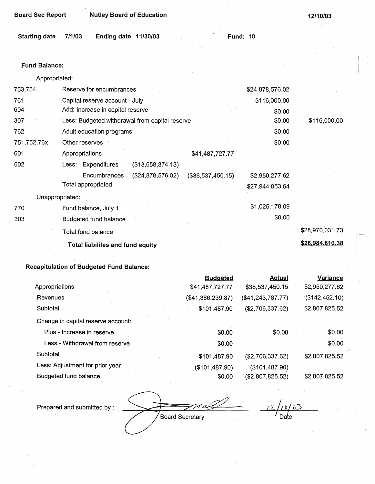| <b>Board Sec Report</b> | <b>Nutley Board of Education</b>               |                 | 12/10/03     |
|-------------------------|------------------------------------------------|-----------------|--------------|
| <b>Starting date</b>    | 7/1/03<br><b>Ending date</b><br>11/30/03       | <b>Fund: 10</b> |              |
|                         |                                                |                 |              |
| <b>Fund Balance:</b>    |                                                |                 |              |
| Appropriated:           |                                                |                 |              |
| 753,754                 | Reserve for encumbrances                       | \$24,878,576.02 |              |
| 761                     | Capital reserve account - July                 | \$116,000.00    |              |
| 604                     | Add: Increase in capital reserve               | \$0.00          |              |
| 307                     | Less: Budgeted withdrawal from capital reserve | \$0.00          | \$116,000.00 |
| 762                     | Adult education programs                       | \$0.00          |              |

| 602 | Less: Expenditures                 | (\$13,658,874.13) |                   |                                   |
|-----|------------------------------------|-------------------|-------------------|-----------------------------------|
|     | Encumbrances<br>Total appropriated | (\$24,878,576.02) | (\$38,537,450.15) | \$2,950,277.62<br>\$27,944,853.64 |
|     | Unappropriated:                    |                   |                   |                                   |
| 770 | Fund balance, July 1               |                   |                   | \$1,025,178.09                    |
| 303 | <b>Budgeted fund balance</b>       |                   |                   | \$0.00                            |
|     | Total fund balance                 |                   |                   |                                   |
|     | Total liabilites and fund equity   |                   |                   |                                   |

Appropriations \$41,487,727.77

### **Recapitulation of Budgeted Fund Balance:**

Other reserves

751,752,76x

601

|                                    | <b>Budgeted</b>   | <b>Actual</b>       | Variance       |
|------------------------------------|-------------------|---------------------|----------------|
| Appropriations                     | \$41,487,727.77   | \$38,537,450.15     | \$2,950,277.62 |
| Revenues                           | (\$41,386,239.87) | (\$41, 243, 787.77) | (\$142,452.10) |
| Subtotal                           | \$101,487.90      | (\$2,706,337.62)    | \$2,807,825.52 |
| Change in capital reserve account: |                   |                     |                |
| Plus - Increase in reserve         | \$0.00            | \$0.00              | \$0.00         |
| Less - Withdrawal from reserve     | \$0.00            |                     | \$0.00         |
| Subtotal                           | \$101,487.90      | (\$2,706,337.62)    | \$2,807,825.52 |
| Less: Adjustment for prior year    | (\$101,487.90)    | (\$101,487.90)      |                |
| Budgeted fund balance              | \$0.00            | (\$2,807,825.52)    | \$2,807,825.52 |

Prepared and submitted by :<br>Board Secretary Date

Date

\$0.00

\$28,970,031.73

**\$28,984.810.38**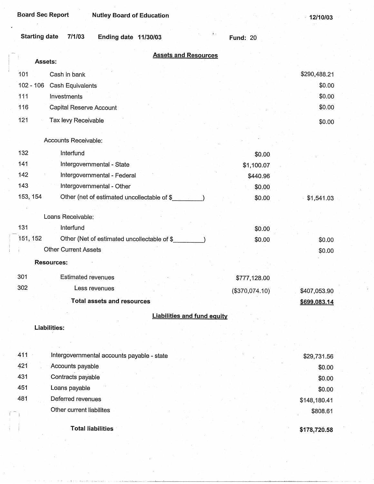| <b>Starting date</b><br>7/1/03<br>Ending date 11/30/03  | <b>Fund: 20</b> |              |
|---------------------------------------------------------|-----------------|--------------|
| <b>Assets and Resources</b>                             |                 |              |
| Assets:                                                 |                 |              |
| 101<br>Cash in bank                                     |                 | \$290,488.21 |
| $102 - 106$<br>Cash Equivalents                         |                 | \$0.00       |
| 111<br>Investments                                      |                 | \$0.00       |
| 116<br>Capital Reserve Account                          |                 | \$0.00       |
| 121<br>Tax levy Receivable                              |                 | \$0.00       |
|                                                         |                 |              |
| Accounts Receivable:                                    |                 |              |
| 132<br>Interfund                                        | \$0.00          |              |
| 141<br>Intergovernmental - State                        | \$1,100.07      |              |
| 142<br>Intergovernmental - Federal                      | \$440.96        |              |
| 143<br>Intergovernmental - Other                        | \$0.00          |              |
| 153, 154<br>Other (net of estimated uncollectable of \$ | \$0.00          | \$1,541.03   |
|                                                         |                 |              |
| Loans Receivable:                                       |                 |              |
| 131<br>Interfund                                        | \$0.00          |              |
| 151, 152<br>Other (Net of estimated uncollectable of \$ | \$0.00          | \$0.00       |
| <b>Other Current Assets</b>                             |                 | \$0.00       |
| <b>Resources:</b>                                       |                 |              |
| 301<br><b>Estimated revenues</b>                        | \$777,128.00    |              |
| 302<br>Less revenues                                    | (\$370,074.10)  | \$407,053.90 |
| <b>Total assets and resources</b>                       |                 | \$699,083.14 |
|                                                         |                 |              |
| <b>Liabilities and fund equity</b>                      |                 |              |
| Liabilities:                                            |                 |              |
|                                                         |                 |              |
| 411<br>Intergovernmental accounts payable - state       |                 | \$29,731.56  |
| 421<br>Accounts payable                                 |                 | \$0.00       |
| 431<br>Contracts payable                                |                 | \$0.00       |
| 451<br>Loans payable                                    |                 | \$0.00       |
| 481<br>Deferred revenues                                |                 | \$148,180.41 |
| Other current liabilites                                |                 | \$808.61     |
|                                                         |                 |              |
| <b>Total liabilities</b>                                |                 | \$178,720.58 |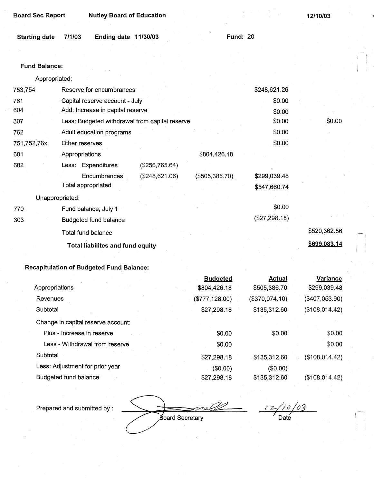| Ending date 11/30/03<br>7/1/03   |                                                | <b>Fund: 20</b>                         |               |              |
|----------------------------------|------------------------------------------------|-----------------------------------------|---------------|--------------|
|                                  |                                                |                                         |               |              |
|                                  |                                                |                                         |               |              |
|                                  |                                                |                                         |               |              |
|                                  |                                                |                                         |               |              |
| Reserve for encumbrances         |                                                |                                         | \$248,621.26  |              |
| Capital reserve account - July   |                                                |                                         | \$0.00        |              |
| Add: Increase in capital reserve |                                                |                                         | \$0.00        |              |
|                                  | Less: Budgeted withdrawal from capital reserve |                                         | \$0.00        | \$0.00       |
| Adult education programs         |                                                |                                         | \$0.00        |              |
| Other reserves                   |                                                |                                         | \$0.00        |              |
| Appropriations                   |                                                | \$804,426.18                            |               |              |
| Less: Expenditures               | (\$256,765.64)                                 |                                         |               |              |
| Encumbrances                     | (\$248,621.06)                                 | (\$505,386.70)                          | \$299,039.48  |              |
| Total appropriated               |                                                |                                         | \$547,660.74  |              |
| Unappropriated:                  |                                                |                                         |               |              |
| Fund balance, July 1             |                                                |                                         | \$0.00        |              |
| <b>Budgeted fund balance</b>     |                                                |                                         | (\$27,298.18) |              |
| Total fund balance               |                                                |                                         |               | \$520,362.56 |
|                                  |                                                |                                         |               | \$699,083.14 |
|                                  |                                                | <b>Total liabilites and fund equity</b> |               |              |

|                                    | <b>Budgeted</b> | Actual         | <b>Variance</b>   |
|------------------------------------|-----------------|----------------|-------------------|
| Appropriations                     | \$804,426.18    | \$505,386.70   | \$299,039.48      |
| Revenues                           | (\$777, 128.00) | (\$370,074.10) | $(\$407,053.90)$  |
| Subtotal                           | \$27,298.18     | \$135,312.60   | (\$108,014.42)    |
| Change in capital reserve account: |                 |                |                   |
| Plus - Increase in reserve         | \$0.00          | \$0.00         | \$0.00            |
| Less - Withdrawal from reserve     | \$0.00          |                | \$0.00            |
| Subtotal                           | \$27,298.18     | \$135,312.60   | $($ \$108,014.42) |
| Less: Adjustment for prior year    | (\$0.00)        | (\$0.00)       |                   |
| Budgeted fund balance              | \$27,298.18     | \$135,312.60   | (\$108,014.42)    |

Prepared and submitted by : <u>12/10/03</u> Board Secretary Date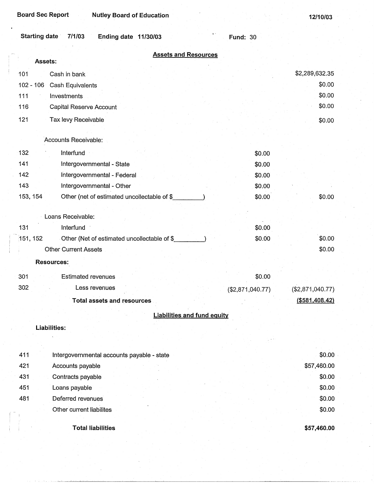... --L....L-----l,~·~~-----~------------------------

#### Starting date 7/1/03 Ending date 11/30/03 **Fund:** 30

| <b>Assets and Resources</b><br>Assets:                  |                  |                   |
|---------------------------------------------------------|------------------|-------------------|
|                                                         |                  |                   |
| 101<br>Cash in bank                                     |                  | \$2,289,632.35    |
| $102 - 106$<br>Cash Equivalents                         |                  | \$0.00<br>\$0.00  |
| 111<br>Investments                                      |                  | \$0.00            |
| 116<br><b>Capital Reserve Account</b>                   |                  |                   |
| 121<br>Tax levy Receivable                              |                  | \$0.00            |
| Accounts Receivable:                                    |                  |                   |
| 132<br>Interfund                                        | \$0.00           |                   |
| 141<br>Intergovernmental - State                        | \$0.00           |                   |
| 142<br>Intergovernmental - Federal                      | \$0.00           |                   |
| 143<br>Intergovernmental - Other                        | \$0.00           |                   |
| 153, 154<br>Other (net of estimated uncollectable of \$ | \$0.00           | \$0.00            |
|                                                         |                  |                   |
| Loans Receivable:                                       |                  |                   |
| 131<br>Interfund                                        | \$0.00           |                   |
| 151, 152<br>Other (Net of estimated uncollectable of \$ | \$0.00           | \$0.00            |
| <b>Other Current Assets</b>                             |                  | \$0.00            |
| <b>Resources:</b>                                       |                  |                   |
| 301<br><b>Estimated revenues</b>                        | \$0.00           |                   |
| 302<br>Less revenues                                    | (\$2,871,040.77) | (\$2,871,040.77)  |
| <b>Total assets and resources</b>                       |                  | $($ \$581,408.42) |
| <b>Liabilities and fund equity</b>                      |                  |                   |
| <b>Liabilities:</b>                                     |                  |                   |
|                                                         |                  |                   |
|                                                         |                  |                   |
| 411<br>Intergovernmental accounts payable - state       |                  | \$0.00            |
| 421<br>Accounts payable                                 |                  | \$57,460.00       |
| 431<br>Contracts payable                                |                  | \$0.00            |
| 451<br>Loans payable                                    |                  | \$0.00            |
| 481<br>Deferred revenues                                |                  | \$0.00            |
| Other current liabilites                                |                  | \$0.00            |
|                                                         |                  |                   |
| <b>Total liabilities</b>                                |                  | \$57,460.00       |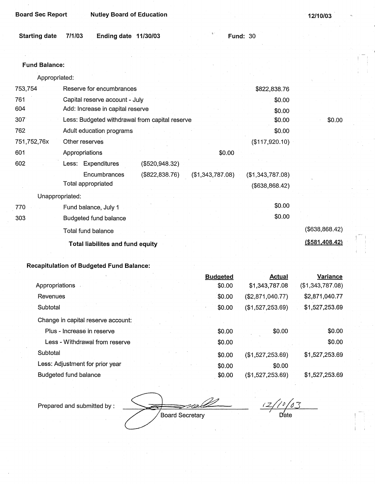| <b>Board Sec Report</b> | <b>Nutley Board of Education</b>                                   |                 |                  |                                    | 12/10/03        |
|-------------------------|--------------------------------------------------------------------|-----------------|------------------|------------------------------------|-----------------|
| <b>Starting date</b>    | 7/1/03<br>Ending date 11/30/03                                     |                 |                  | <b>Fund: 30</b>                    |                 |
|                         |                                                                    |                 |                  |                                    |                 |
| <b>Fund Balance:</b>    |                                                                    |                 |                  |                                    |                 |
| Appropriated:           |                                                                    |                 |                  |                                    |                 |
| 753,754                 | Reserve for encumbrances                                           |                 |                  | \$822,838.76                       |                 |
| 761<br>604              | Capital reserve account - July<br>Add: Increase in capital reserve |                 |                  | \$0.00<br>\$0.00                   |                 |
| 307                     | Less: Budgeted withdrawal from capital reserve                     |                 |                  | \$0.00                             | \$0.00          |
| 762                     | Adult education programs                                           |                 |                  | \$0.00                             |                 |
| 751,752,76x             | Other reserves                                                     |                 |                  | (\$117,920.10)                     |                 |
| 601                     | Appropriations                                                     |                 | \$0.00           |                                    |                 |
| 602                     | Less: Expenditures                                                 | (\$520,948.32)  |                  |                                    |                 |
|                         | Encumbrances<br>Total appropriated                                 | (\$822, 838.76) | (\$1,343,787.08) | (\$1,343,787.08)<br>(\$638,868.42) |                 |
| Unappropriated:         |                                                                    |                 |                  |                                    |                 |
| 770                     | Fund balance, July 1                                               |                 |                  | \$0.00                             |                 |
| 303                     | Budgeted fund balance                                              |                 |                  | \$0.00                             |                 |
|                         | Total fund balance                                                 |                 |                  |                                    | (\$638,868,42)  |
|                         | Total liabilites and fund equity                                   |                 |                  |                                    | ( \$581,408.42) |
|                         |                                                                    |                 |                  |                                    |                 |

|                                    | <b>Budgeted</b> | <b>Actual</b>    | <b>Variance</b>  |
|------------------------------------|-----------------|------------------|------------------|
| Appropriations                     | \$0.00          | \$1,343,787.08   | (\$1,343,787.08) |
| Revenues                           | \$0.00          | (\$2,871,040.77) | \$2,871,040.77   |
| Subtotal                           | \$0.00          | (\$1,527,253.69) | \$1,527,253.69   |
| Change in capital reserve account: |                 |                  |                  |
| Plus - Increase in reserve         | \$0.00          | \$0.00           | \$0.00           |
| Less - Withdrawal from reserve     | \$0.00          |                  | \$0.00           |
| Subtotal                           | \$0.00          | (\$1,527,253.69) | \$1,527,253.69   |
| Less: Adjustment for prior year    | \$0.00          | \$0.00           |                  |
| Budgeted fund balance              | \$0.00          | (\$1,527,253.69) | \$1,527,253.69   |

Prepared and submitted by :

Board Secretary

*t.z/;P/43*  Date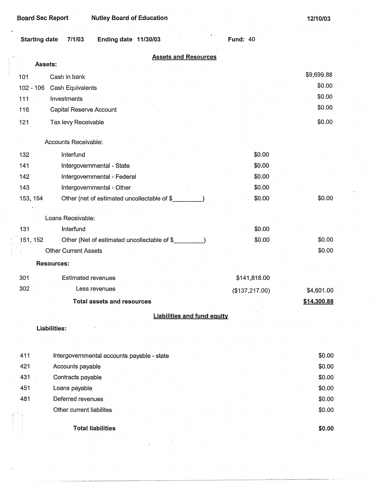**Board Sec Report Nutley Board of Education** 

**12/10/03** 

| Starting date 7/1/03 | Ending date 11/30/03 |  | <b>Fund: 40</b> |
|----------------------|----------------------|--|-----------------|

|                                                          | <b>Assets and Resources</b> |                |             |
|----------------------------------------------------------|-----------------------------|----------------|-------------|
| Assets:                                                  |                             |                |             |
| Cash in bank<br>101                                      |                             |                | \$9,699.88  |
| $102 - 106$<br>Cash Equivalents                          |                             |                | \$0.00      |
| Investments<br>111                                       |                             |                | \$0.00      |
| Capital Reserve Account<br>116                           |                             |                | \$0.00      |
| Tax levy Receivable<br>121                               |                             |                | \$0.00      |
|                                                          |                             |                |             |
| Accounts Receivable:                                     |                             |                |             |
| 132<br>Interfund                                         |                             | \$0.00         |             |
| Intergovernmental - State<br>141                         |                             | \$0.00         |             |
| Intergovernmental - Federal<br>142                       |                             | \$0.00         |             |
| 143<br>Intergovernmental - Other                         |                             | \$0.00         |             |
| 153, 154<br>Other (net of estimated uncollectable of \$_ |                             | \$0.00         | \$0.00      |
| Loans Receivable:                                        |                             |                |             |
| 131<br>Interfund                                         |                             | \$0.00         |             |
| Other (Net of estimated uncollectable of \$<br>151, 152  |                             | \$0.00         | \$0.00      |
| <b>Other Current Assets</b>                              |                             |                | \$0.00      |
| <b>Resources:</b>                                        |                             |                |             |
|                                                          |                             |                |             |
| 301<br><b>Estimated revenues</b>                         |                             | \$141,818.00   |             |
| 302<br>Less revenues                                     |                             | (\$137,217.00) | \$4,601.00  |
| <b>Total assets and resources</b>                        |                             |                | \$14,300.88 |
|                                                          | Liabilities and fund equity |                |             |
| <b>Liabilities:</b>                                      |                             |                |             |
|                                                          |                             |                |             |
|                                                          |                             |                |             |
| 411<br>Intergovernmental accounts payable - state        |                             |                | \$0.00      |
| 421<br>Accounts payable                                  |                             |                | \$0.00      |
| 431<br>Contracts payable                                 |                             |                | \$0.00      |
| 451<br>Loans payable                                     |                             |                | \$0.00      |
| 481<br>Deferred revenues                                 |                             |                | \$0.00      |
| Other current liabilites                                 |                             |                | \$0.00      |

**Total liabilities** 

I

**\$0.00**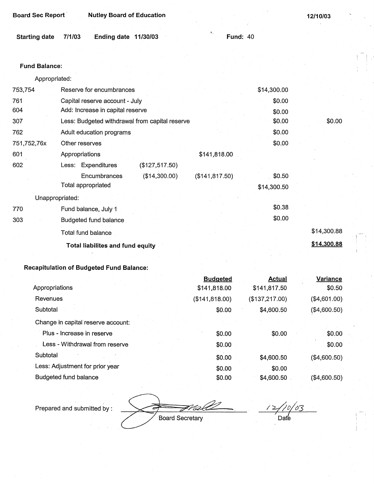| <b>Board Sec Report</b> |        | <b>Nutley Board of Education</b> |                 | 12/10/03 |
|-------------------------|--------|----------------------------------|-----------------|----------|
| <b>Starting date</b>    | 7/1/03 | Ending date 11/30/03             | <b>Fund: 40</b> |          |
|                         |        |                                  |                 |          |
| <b>Fund Balance:</b>    |        |                                  |                 |          |
| Appropriated:           |        |                                  |                 |          |

| \$0.00      |
|-------------|
|             |
|             |
|             |
|             |
|             |
|             |
|             |
|             |
|             |
| \$14,300.88 |
| \$14,300.88 |
|             |

|                                    | <b>Budgeted</b> | <b>Actual</b>  | Variance     |
|------------------------------------|-----------------|----------------|--------------|
| Appropriations                     | \$141,818.00    | \$141,817.50   | \$0.50       |
| Revenues                           | (\$141, 818.00) | (\$137,217.00) | (\$4,601.00) |
| Subtotal                           | \$0.00          | \$4,600.50     | (\$4,600.50) |
| Change in capital reserve account: |                 |                |              |
| Plus - Increase in reserve         | \$0.00          | \$0.00         | \$0.00       |
| Less - Withdrawal from reserve     | \$0.00          |                | \$0.00       |
| Subtotal                           | \$0.00          | \$4,600.50     | (\$4,600.50) |
| Less: Adjustment for prior year    | \$0.00          | \$0.00         |              |
| Budgeted fund balance              | \$0.00          | \$4,600.50     | (\$4,600.50) |

Prepared and submitted by :

Board Secretary

 $\angle$ '03  $Date$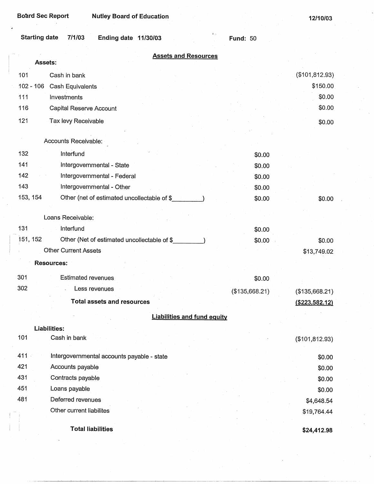**12/10/03** 

| Starting date<br>7/1/03 | Ending date $11/30/03$ |
|-------------------------|------------------------|
|-------------------------|------------------------|

**Fund:** 50

|             | <b>Assets and Resources</b><br>Assets:      |                |                  |
|-------------|---------------------------------------------|----------------|------------------|
|             |                                             |                |                  |
| 101         | Cash in bank                                |                | (\$101,812.93)   |
| $102 - 106$ | Cash Equivalents                            |                | \$150.00         |
| 111         | Investments                                 |                | \$0.00           |
| 116         | Capital Reserve Account                     |                | \$0.00           |
| 121         | Tax levy Receivable                         |                | \$0.00           |
|             | Accounts Receivable:                        |                |                  |
| 132         | Interfund                                   | \$0.00         |                  |
| 141         | Intergovernmental - State                   | \$0.00         |                  |
| 142         | Intergovernmental - Federal                 | \$0.00         |                  |
| 143         | Intergovernmental - Other                   | \$0.00         |                  |
| 153, 154    | Other (net of estimated uncollectable of \$ | \$0.00         | \$0.00           |
|             |                                             |                |                  |
|             | Loans Receivable:                           |                |                  |
| 131         | Interfund                                   | \$0.00         |                  |
| 151, 152    | Other (Net of estimated uncollectable of \$ | \$0.00         | \$0.00           |
|             | <b>Other Current Assets</b>                 |                | \$13,749.02      |
|             | <b>Resources:</b>                           |                |                  |
| 301         | <b>Estimated revenues</b>                   | \$0.00         |                  |
| 302         | Less revenues                               |                |                  |
|             |                                             | (\$135,668.21) | (\$135,668.21)   |
|             | <b>Total assets and resources</b>           |                | ( \$223, 582.12) |
|             | <b>Liabilities and fund equity</b>          |                |                  |
|             | Liabilities:                                |                |                  |
| 101         | Cash in bank                                |                | (\$101, 812.93)  |
| 411         | Intergovernmental accounts payable - state  |                | \$0.00           |
| 421         | Accounts payable                            |                | \$0.00           |
| 431         | Contracts payable                           |                | \$0.00           |
| 451         | Loans payable                               |                | \$0.00           |
| 481         | Deferred revenues                           |                | \$4,648.54       |
|             | Other current liabilites                    |                | \$19,764.44      |
|             |                                             |                |                  |
|             | <b>Total liabilities</b>                    |                | \$24,412.98      |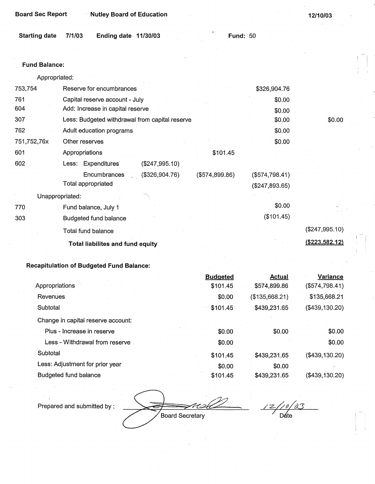| <b>Board Sec Report</b> | <b>Nutley Board of Education</b>               |                |                 | 12/10/03         |
|-------------------------|------------------------------------------------|----------------|-----------------|------------------|
| <b>Starting date</b>    | 7/1/03<br>Ending date 11/30/03                 | $a$ .          | <b>Fund: 50</b> |                  |
|                         |                                                |                |                 |                  |
| <b>Fund Balance:</b>    |                                                |                |                 |                  |
| Appropriated:           |                                                |                |                 |                  |
| 753,754                 | Reserve for encumbrances                       |                | \$326,904.76    |                  |
| 761                     | Capital reserve account - July                 |                | \$0.00          |                  |
| 604                     | Add: Increase in capital reserve               |                | \$0.00          |                  |
| 307                     | Less: Budgeted withdrawal from capital reserve |                | \$0.00          | \$0.00           |
| 762                     | Adult education programs                       |                | \$0.00          |                  |
| 751,752,76x             | Other reserves                                 |                | \$0.00          |                  |
| 601                     | Appropriations                                 | \$101.45       |                 |                  |
| 602                     | Less: Expenditures<br>(\$247,995.10)           |                |                 |                  |
|                         | Encumbrances<br>(\$326,904.76)                 | (\$574,899.86) | (\$574,798.41)  |                  |
|                         | Total appropriated                             |                | (\$247,893.65)  |                  |
| Unappropriated:         |                                                |                |                 |                  |
| 770                     | Fund balance, July 1                           |                | \$0.00          |                  |
| 303                     | <b>Budgeted fund balance</b>                   |                | (\$101.45)      |                  |
|                         | Total fund balance                             |                |                 | (\$247,995.10)   |
|                         | Total liabilites and fund equity               |                |                 | ( \$223, 582.12) |

|                                    | <b>Budgeted</b> | Actual         | Variance         |
|------------------------------------|-----------------|----------------|------------------|
| Appropriations                     | \$101.45        | \$574,899.86   | (\$574,798.41)   |
| Revenues                           | \$0.00          | (\$135,668.21) | \$135,668.21     |
| Subtotal                           | \$101.45        | \$439,231.65   | (\$439,130.20)   |
| Change in capital reserve account: |                 |                |                  |
| Plus - Increase in reserve         | \$0.00          | \$0.00         | \$0.00           |
| Less - Withdrawal from reserve     | \$0.00          |                | \$0.00           |
| Subtotal                           | \$101.45        | \$439,231.65   | $(\$439,130.20)$ |
| Less: Adjustment for prior year    | \$0.00          | \$0.00         |                  |
| Budgeted fund balance              | \$101.45        | \$439,231.65   | (\$439,130.20)   |

Prepared and submitted by :

Board Secretary

 $\frac{1}{\sqrt{10}}$  as  $12/$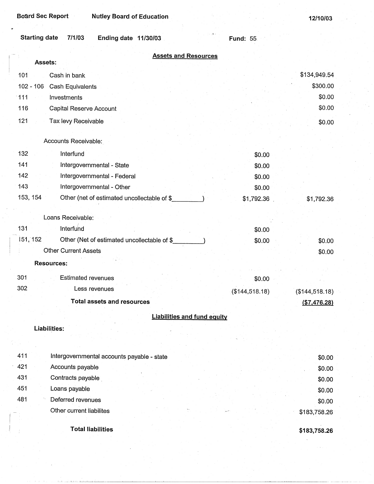**Fund:** 55

| Starting date<br>7/1/03<br><b>Ending date 11/30/03</b> |  |
|--------------------------------------------------------|--|
|--------------------------------------------------------|--|

| <b>Assets and Resources</b>                             |                |                |
|---------------------------------------------------------|----------------|----------------|
| Assets:                                                 |                |                |
| 101<br>Cash in bank                                     |                | \$134,949.54   |
| $102 - 106$<br>Cash Equivalents                         |                | \$300.00       |
| 111<br>Investments                                      |                | \$0.00         |
| 116<br>Capital Reserve Account                          |                | \$0.00         |
| 121<br>Tax levy Receivable                              |                | \$0.00         |
| Accounts Receivable:                                    |                |                |
| 132<br>Interfund                                        | \$0.00         |                |
| 141<br>Intergovernmental - State                        | \$0.00         |                |
| 142<br>Intergovernmental - Federal                      | \$0.00         |                |
| 143<br>Intergovernmental - Other                        | \$0.00         |                |
| 153, 154<br>Other (net of estimated uncollectable of \$ | \$1,792.36     | \$1,792.36     |
|                                                         |                |                |
| Loans Receivable:                                       |                |                |
| Interfund<br>131                                        | \$0.00         |                |
| 151, 152<br>Other (Net of estimated uncollectable of \$ | \$0.00         | \$0.00         |
| <b>Other Current Assets</b>                             |                | \$0.00         |
| <b>Resources:</b>                                       |                |                |
| 301<br><b>Estimated revenues</b>                        | \$0.00         |                |
| 302<br>Less revenues                                    | (\$144,518.18) | (\$144,518.18) |
| <b>Total assets and resources</b>                       |                | (\$7,476.28)   |
| <b>Liabilities and fund equity</b>                      |                |                |
| <b>Liabilities:</b>                                     |                |                |
|                                                         |                |                |
|                                                         |                |                |
| 411<br>Intergovernmental accounts payable - state       |                | \$0.00         |
| 421<br>Accounts payable                                 |                | \$0.00         |
| 431<br>Contracts payable                                |                | \$0.00         |
| 451<br>Loans payable                                    |                | \$0.00         |
| 481<br>Deferred revenues                                |                | \$0.00         |
| Other current liabilites                                |                | \$183,758.26   |
| <b>Total liabilities</b>                                |                | \$183,758.26   |

**\$183,758.26**